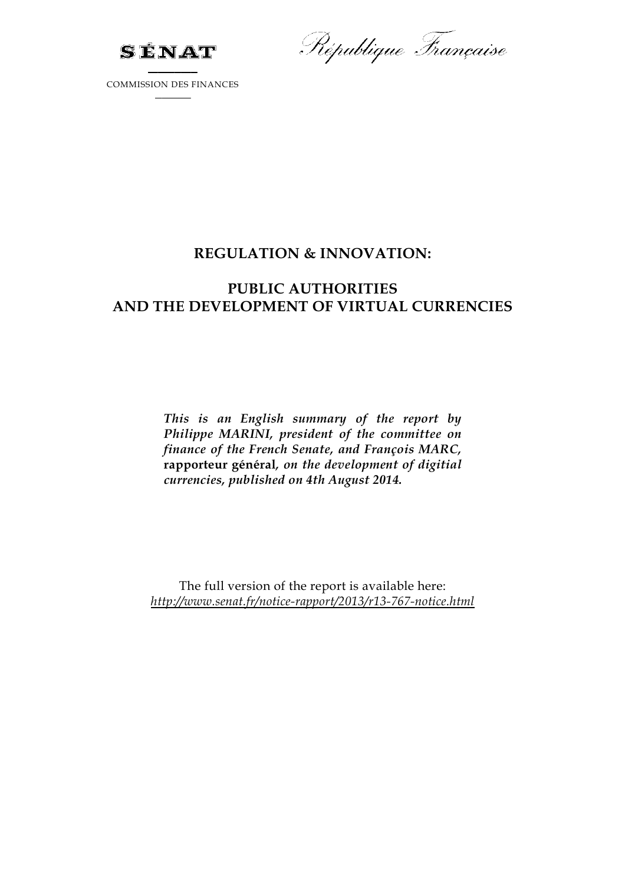

République Française

COMMISSION DES FINANCES

## **REGULATION & INNOVATION:**

## **PUBLIC AUTHORITIES AND THE DEVELOPMENT OF VIRTUAL CURRENCIES**

*This is an English summary of the report by Philippe MARINI, president of the committee on finance of the French Senate, and François MARC,*  **rapporteur général***, on the development of digitial currencies, published on 4th August 2014.* 

The full version of the report is available here: *http://www.senat.fr/notice-rapport/2013/r13-767-notice.html*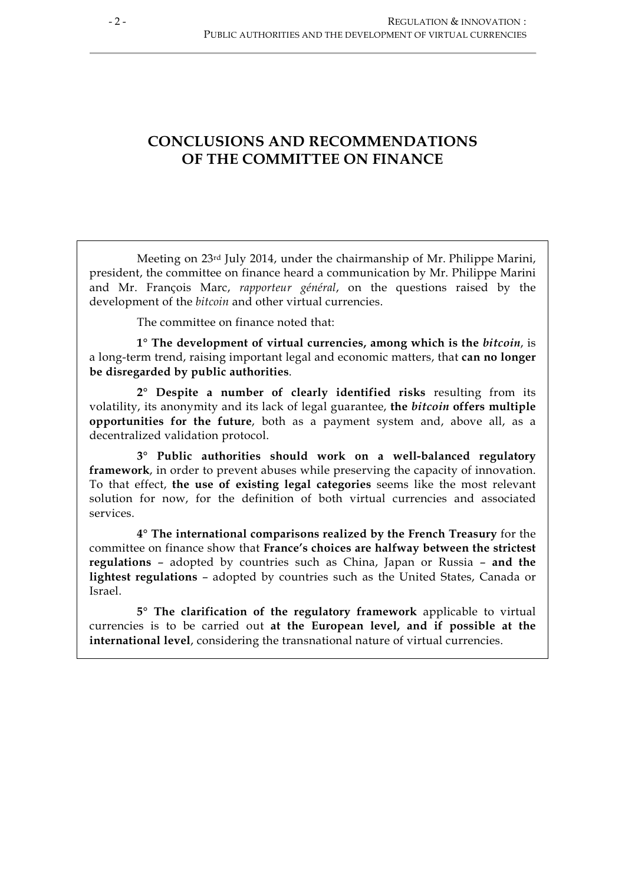## **CONCLUSIONS AND RECOMMENDATIONS OF THE COMMITTEE ON FINANCE**

Meeting on 23rd July 2014, under the chairmanship of Mr. Philippe Marini, president, the committee on finance heard a communication by Mr. Philippe Marini and Mr. François Marc, *rapporteur général*, on the questions raised by the development of the *bitcoin* and other virtual currencies.

The committee on finance noted that:

**1° The development of virtual currencies, among which is the** *bitcoin*, is a long-term trend, raising important legal and economic matters, that **can no longer be disregarded by public authorities**.

**2° Despite a number of clearly identified risks** resulting from its volatility, its anonymity and its lack of legal guarantee, **the** *bitcoin* **offers multiple opportunities for the future**, both as a payment system and, above all, as a decentralized validation protocol.

**3° Public authorities should work on a well-balanced regulatory framework**, in order to prevent abuses while preserving the capacity of innovation. To that effect, **the use of existing legal categories** seems like the most relevant solution for now, for the definition of both virtual currencies and associated services.

**4° The international comparisons realized by the French Treasury** for the committee on finance show that **France's choices are halfway between the strictest regulations** – adopted by countries such as China, Japan or Russia – **and the lightest regulations** – adopted by countries such as the United States, Canada or Israel.

**5° The clarification of the regulatory framework** applicable to virtual currencies is to be carried out **at the European level, and if possible at the international level**, considering the transnational nature of virtual currencies.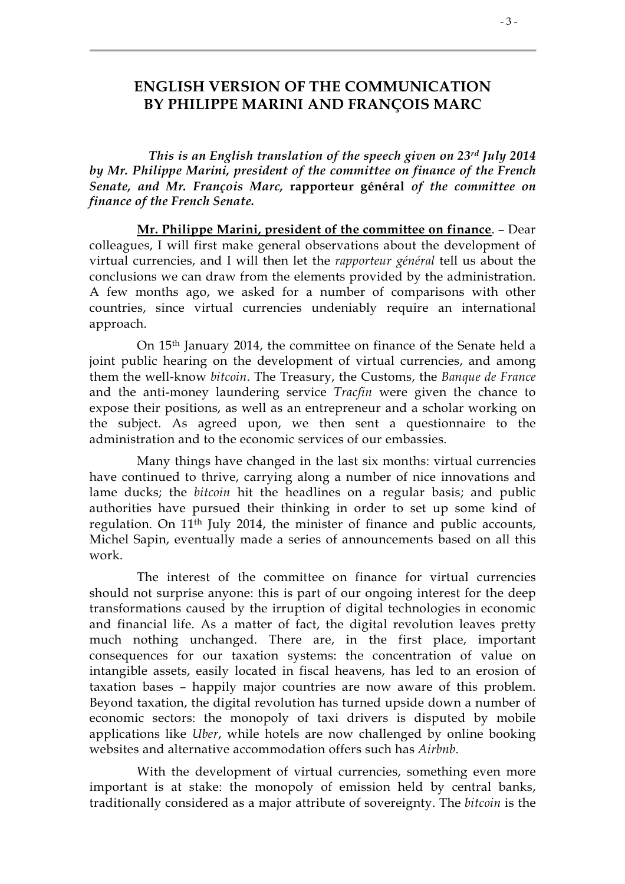## **ENGLISH VERSION OF THE COMMUNICATION BY PHILIPPE MARINI AND FRANÇOIS MARC**

*This is an English translation of the speech given on 23rd July 2014 by Mr. Philippe Marini, president of the committee on finance of the French Senate, and Mr. François Marc,* **rapporteur général** *of the committee on finance of the French Senate.*

**Mr. Philippe Marini, president of the committee on finance**. – Dear colleagues, I will first make general observations about the development of virtual currencies, and I will then let the *rapporteur général* tell us about the conclusions we can draw from the elements provided by the administration. A few months ago, we asked for a number of comparisons with other countries, since virtual currencies undeniably require an international approach.

On 15th January 2014, the committee on finance of the Senate held a joint public hearing on the development of virtual currencies, and among them the well-know *bitcoin*. The Treasury, the Customs, the *Banque de France* and the anti-money laundering service *Tracfin* were given the chance to expose their positions, as well as an entrepreneur and a scholar working on the subject. As agreed upon, we then sent a questionnaire to the administration and to the economic services of our embassies.

Many things have changed in the last six months: virtual currencies have continued to thrive, carrying along a number of nice innovations and lame ducks; the *bitcoin* hit the headlines on a regular basis; and public authorities have pursued their thinking in order to set up some kind of regulation. On 11th July 2014, the minister of finance and public accounts, Michel Sapin, eventually made a series of announcements based on all this work.

The interest of the committee on finance for virtual currencies should not surprise anyone: this is part of our ongoing interest for the deep transformations caused by the irruption of digital technologies in economic and financial life. As a matter of fact, the digital revolution leaves pretty much nothing unchanged. There are, in the first place, important consequences for our taxation systems: the concentration of value on intangible assets, easily located in fiscal heavens, has led to an erosion of taxation bases – happily major countries are now aware of this problem. Beyond taxation, the digital revolution has turned upside down a number of economic sectors: the monopoly of taxi drivers is disputed by mobile applications like *Uber*, while hotels are now challenged by online booking websites and alternative accommodation offers such has *Airbnb*.

With the development of virtual currencies, something even more important is at stake: the monopoly of emission held by central banks, traditionally considered as a major attribute of sovereignty. The *bitcoin* is the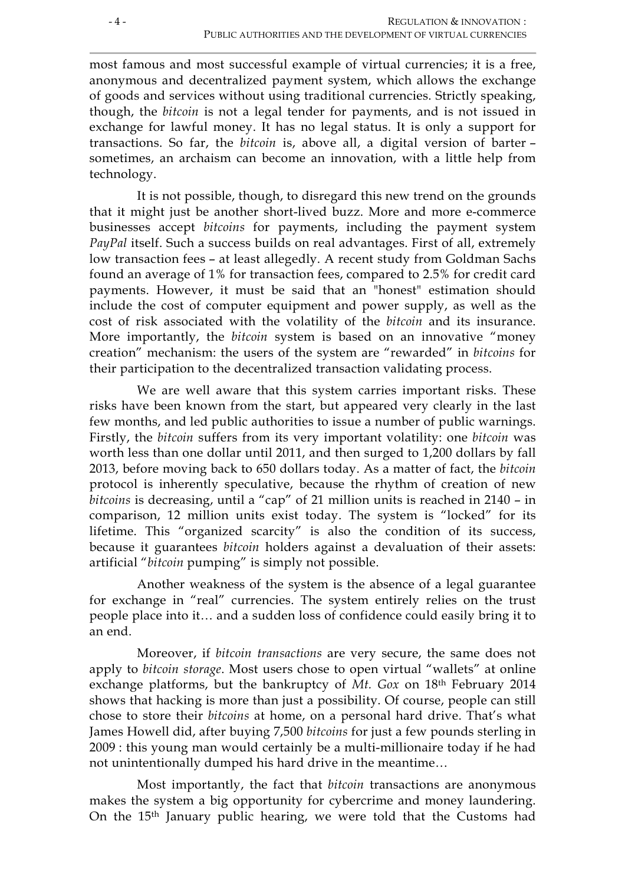most famous and most successful example of virtual currencies; it is a free, anonymous and decentralized payment system, which allows the exchange of goods and services without using traditional currencies. Strictly speaking, though, the *bitcoin* is not a legal tender for payments, and is not issued in exchange for lawful money. It has no legal status. It is only a support for transactions. So far, the *bitcoin* is, above all, a digital version of barter – sometimes, an archaism can become an innovation, with a little help from technology.

It is not possible, though, to disregard this new trend on the grounds that it might just be another short-lived buzz. More and more e-commerce businesses accept *bitcoins* for payments, including the payment system *PayPal* itself. Such a success builds on real advantages. First of all, extremely low transaction fees – at least allegedly. A recent study from Goldman Sachs found an average of 1% for transaction fees, compared to 2.5% for credit card payments. However, it must be said that an "honest" estimation should include the cost of computer equipment and power supply, as well as the cost of risk associated with the volatility of the *bitcoin* and its insurance. More importantly, the *bitcoin* system is based on an innovative "money creation" mechanism: the users of the system are "rewarded" in *bitcoins* for their participation to the decentralized transaction validating process.

We are well aware that this system carries important risks. These risks have been known from the start, but appeared very clearly in the last few months, and led public authorities to issue a number of public warnings. Firstly, the *bitcoin* suffers from its very important volatility: one *bitcoin* was worth less than one dollar until 2011, and then surged to 1,200 dollars by fall 2013, before moving back to 650 dollars today. As a matter of fact, the *bitcoin* protocol is inherently speculative, because the rhythm of creation of new *bitcoins* is decreasing, until a "cap" of 21 million units is reached in 2140 – in comparison, 12 million units exist today. The system is "locked" for its lifetime. This "organized scarcity" is also the condition of its success, because it guarantees *bitcoin* holders against a devaluation of their assets: artificial "*bitcoin* pumping" is simply not possible.

Another weakness of the system is the absence of a legal guarantee for exchange in "real" currencies. The system entirely relies on the trust people place into it… and a sudden loss of confidence could easily bring it to an end.

Moreover, if *bitcoin transactions* are very secure, the same does not apply to *bitcoin storage*. Most users chose to open virtual "wallets" at online exchange platforms, but the bankruptcy of *Mt. Gox* on 18th February 2014 shows that hacking is more than just a possibility. Of course, people can still chose to store their *bitcoins* at home, on a personal hard drive. That's what James Howell did, after buying 7,500 *bitcoins* for just a few pounds sterling in 2009 : this young man would certainly be a multi-millionaire today if he had not unintentionally dumped his hard drive in the meantime…

Most importantly, the fact that *bitcoin* transactions are anonymous makes the system a big opportunity for cybercrime and money laundering. On the 15th January public hearing, we were told that the Customs had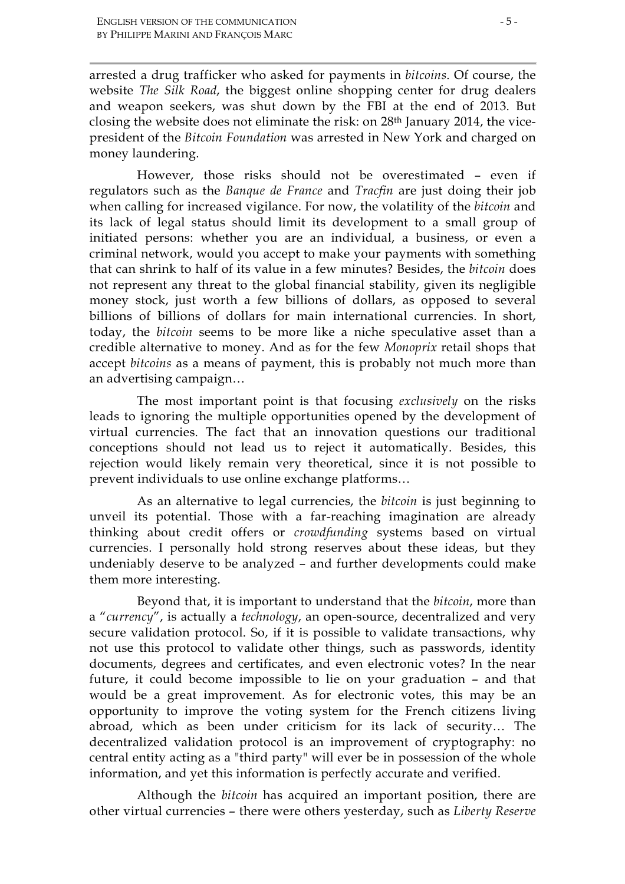arrested a drug trafficker who asked for payments in *bitcoins*. Of course, the website *The Silk Road*, the biggest online shopping center for drug dealers and weapon seekers, was shut down by the FBI at the end of 2013. But closing the website does not eliminate the risk: on 28th January 2014, the vicepresident of the *Bitcoin Foundation* was arrested in New York and charged on money laundering.

However, those risks should not be overestimated – even if regulators such as the *Banque de France* and *Tracfin* are just doing their job when calling for increased vigilance. For now, the volatility of the *bitcoin* and its lack of legal status should limit its development to a small group of initiated persons: whether you are an individual, a business, or even a criminal network, would you accept to make your payments with something that can shrink to half of its value in a few minutes? Besides, the *bitcoin* does not represent any threat to the global financial stability, given its negligible money stock, just worth a few billions of dollars, as opposed to several billions of billions of dollars for main international currencies. In short, today, the *bitcoin* seems to be more like a niche speculative asset than a credible alternative to money. And as for the few *Monoprix* retail shops that accept *bitcoins* as a means of payment, this is probably not much more than an advertising campaign…

The most important point is that focusing *exclusively* on the risks leads to ignoring the multiple opportunities opened by the development of virtual currencies. The fact that an innovation questions our traditional conceptions should not lead us to reject it automatically. Besides, this rejection would likely remain very theoretical, since it is not possible to prevent individuals to use online exchange platforms…

As an alternative to legal currencies, the *bitcoin* is just beginning to unveil its potential. Those with a far-reaching imagination are already thinking about credit offers or *crowdfunding* systems based on virtual currencies. I personally hold strong reserves about these ideas, but they undeniably deserve to be analyzed – and further developments could make them more interesting.

Beyond that, it is important to understand that the *bitcoin*, more than a "*currency*", is actually a *technology*, an open-source, decentralized and very secure validation protocol. So, if it is possible to validate transactions, why not use this protocol to validate other things, such as passwords, identity documents, degrees and certificates, and even electronic votes? In the near future, it could become impossible to lie on your graduation – and that would be a great improvement. As for electronic votes, this may be an opportunity to improve the voting system for the French citizens living abroad, which as been under criticism for its lack of security… The decentralized validation protocol is an improvement of cryptography: no central entity acting as a "third party" will ever be in possession of the whole information, and yet this information is perfectly accurate and verified.

Although the *bitcoin* has acquired an important position, there are other virtual currencies – there were others yesterday, such as *Liberty Reserve*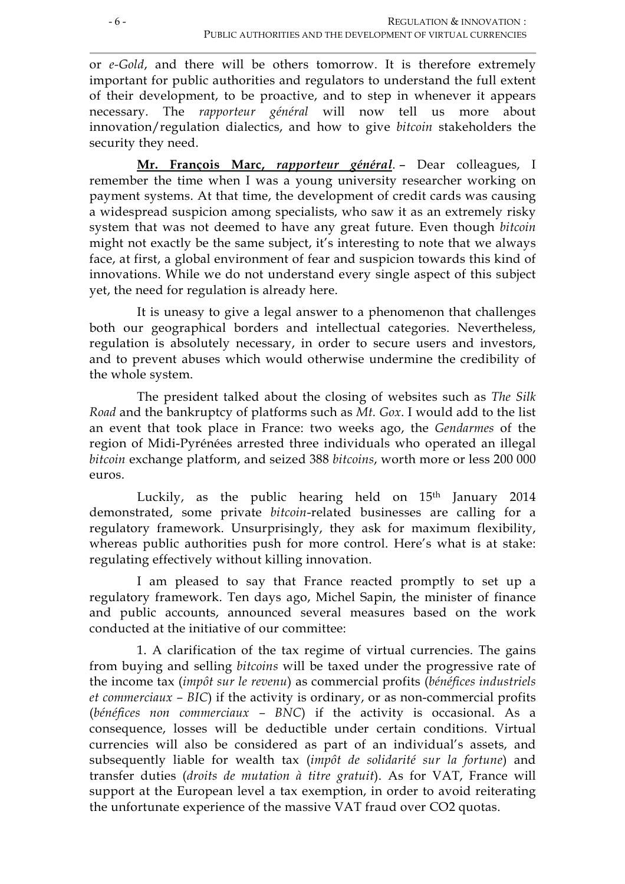or *e-Gold*, and there will be others tomorrow. It is therefore extremely important for public authorities and regulators to understand the full extent of their development, to be proactive, and to step in whenever it appears necessary. The *rapporteur général* will now tell us more about innovation/regulation dialectics, and how to give *bitcoin* stakeholders the security they need.

**Mr. François Marc,** *rapporteur général*. – Dear colleagues, I remember the time when I was a young university researcher working on payment systems. At that time, the development of credit cards was causing a widespread suspicion among specialists, who saw it as an extremely risky system that was not deemed to have any great future. Even though *bitcoin* might not exactly be the same subject, it's interesting to note that we always face, at first, a global environment of fear and suspicion towards this kind of innovations. While we do not understand every single aspect of this subject yet, the need for regulation is already here.

It is uneasy to give a legal answer to a phenomenon that challenges both our geographical borders and intellectual categories. Nevertheless, regulation is absolutely necessary, in order to secure users and investors, and to prevent abuses which would otherwise undermine the credibility of the whole system.

The president talked about the closing of websites such as *The Silk Road* and the bankruptcy of platforms such as *Mt. Gox*. I would add to the list an event that took place in France: two weeks ago, the *Gendarmes* of the region of Midi-Pyrénées arrested three individuals who operated an illegal *bitcoin* exchange platform, and seized 388 *bitcoins*, worth more or less 200 000 euros.

Luckily, as the public hearing held on  $15<sup>th</sup>$  January 2014 demonstrated, some private *bitcoin*-related businesses are calling for a regulatory framework. Unsurprisingly, they ask for maximum flexibility, whereas public authorities push for more control. Here's what is at stake: regulating effectively without killing innovation.

I am pleased to say that France reacted promptly to set up a regulatory framework. Ten days ago, Michel Sapin, the minister of finance and public accounts, announced several measures based on the work conducted at the initiative of our committee:

1. A clarification of the tax regime of virtual currencies. The gains from buying and selling *bitcoins* will be taxed under the progressive rate of the income tax (*impôt sur le revenu*) as commercial profits (*bénéfices industriels et commerciaux – BIC*) if the activity is ordinary, or as non-commercial profits (*bénéfices non commerciaux – BNC*) if the activity is occasional. As a consequence, losses will be deductible under certain conditions. Virtual currencies will also be considered as part of an individual's assets, and subsequently liable for wealth tax (*impôt de solidarité sur la fortune*) and transfer duties (*droits de mutation à titre gratuit*). As for VAT, France will support at the European level a tax exemption, in order to avoid reiterating the unfortunate experience of the massive VAT fraud over CO2 quotas.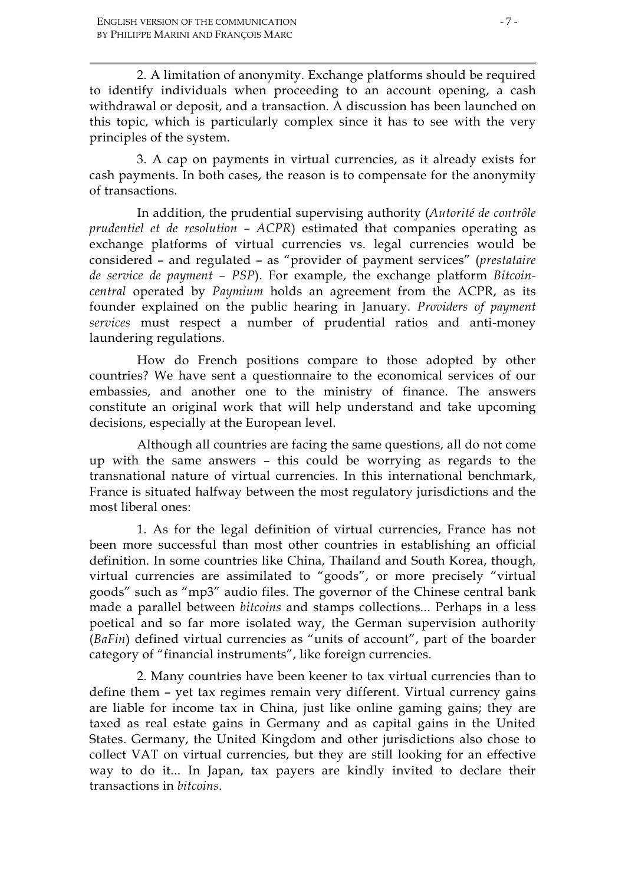2. A limitation of anonymity. Exchange platforms should be required to identify individuals when proceeding to an account opening, a cash withdrawal or deposit, and a transaction. A discussion has been launched on this topic, which is particularly complex since it has to see with the very principles of the system.

3. A cap on payments in virtual currencies, as it already exists for cash payments. In both cases, the reason is to compensate for the anonymity of transactions.

In addition, the prudential supervising authority (*Autorité de contrôle prudentiel et de resolution* – *ACPR*) estimated that companies operating as exchange platforms of virtual currencies vs. legal currencies would be considered – and regulated – as "provider of payment services" (*prestataire de service de payment – PSP*). For example, the exchange platform *Bitcoincentral* operated by *Paymium* holds an agreement from the ACPR, as its founder explained on the public hearing in January. *Providers of payment services* must respect a number of prudential ratios and anti-money laundering regulations.

How do French positions compare to those adopted by other countries? We have sent a questionnaire to the economical services of our embassies, and another one to the ministry of finance. The answers constitute an original work that will help understand and take upcoming decisions, especially at the European level.

Although all countries are facing the same questions, all do not come up with the same answers – this could be worrying as regards to the transnational nature of virtual currencies. In this international benchmark, France is situated halfway between the most regulatory jurisdictions and the most liberal ones:

1. As for the legal definition of virtual currencies, France has not been more successful than most other countries in establishing an official definition. In some countries like China, Thailand and South Korea, though, virtual currencies are assimilated to "goods", or more precisely "virtual goods" such as "mp3" audio files. The governor of the Chinese central bank made a parallel between *bitcoins* and stamps collections... Perhaps in a less poetical and so far more isolated way, the German supervision authority (*BaFin*) defined virtual currencies as "units of account", part of the boarder category of "financial instruments", like foreign currencies.

2. Many countries have been keener to tax virtual currencies than to define them – yet tax regimes remain very different. Virtual currency gains are liable for income tax in China, just like online gaming gains; they are taxed as real estate gains in Germany and as capital gains in the United States. Germany, the United Kingdom and other jurisdictions also chose to collect VAT on virtual currencies, but they are still looking for an effective way to do it... In Japan, tax payers are kindly invited to declare their transactions in *bitcoins*.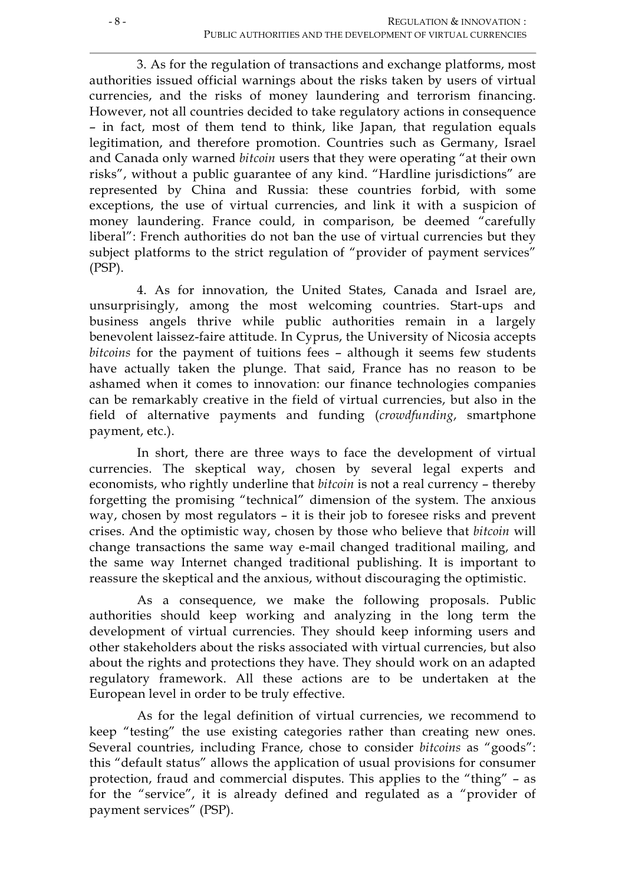3. As for the regulation of transactions and exchange platforms, most authorities issued official warnings about the risks taken by users of virtual currencies, and the risks of money laundering and terrorism financing. However, not all countries decided to take regulatory actions in consequence – in fact, most of them tend to think, like Japan, that regulation equals legitimation, and therefore promotion. Countries such as Germany, Israel and Canada only warned *bitcoin* users that they were operating "at their own risks", without a public guarantee of any kind. "Hardline jurisdictions" are represented by China and Russia: these countries forbid, with some exceptions, the use of virtual currencies, and link it with a suspicion of money laundering. France could, in comparison, be deemed "carefully liberal": French authorities do not ban the use of virtual currencies but they subject platforms to the strict regulation of "provider of payment services" (PSP).

4. As for innovation, the United States, Canada and Israel are, unsurprisingly, among the most welcoming countries. Start-ups and business angels thrive while public authorities remain in a largely benevolent laissez-faire attitude. In Cyprus, the University of Nicosia accepts *bitcoins* for the payment of tuitions fees – although it seems few students have actually taken the plunge. That said, France has no reason to be ashamed when it comes to innovation: our finance technologies companies can be remarkably creative in the field of virtual currencies, but also in the field of alternative payments and funding (*crowdfunding*, smartphone payment, etc.).

In short, there are three ways to face the development of virtual currencies. The skeptical way, chosen by several legal experts and economists, who rightly underline that *bitcoin* is not a real currency – thereby forgetting the promising "technical" dimension of the system. The anxious way, chosen by most regulators – it is their job to foresee risks and prevent crises. And the optimistic way, chosen by those who believe that *bitcoin* will change transactions the same way e-mail changed traditional mailing, and the same way Internet changed traditional publishing. It is important to reassure the skeptical and the anxious, without discouraging the optimistic.

As a consequence, we make the following proposals. Public authorities should keep working and analyzing in the long term the development of virtual currencies. They should keep informing users and other stakeholders about the risks associated with virtual currencies, but also about the rights and protections they have. They should work on an adapted regulatory framework. All these actions are to be undertaken at the European level in order to be truly effective.

As for the legal definition of virtual currencies, we recommend to keep "testing" the use existing categories rather than creating new ones. Several countries, including France, chose to consider *bitcoins* as "goods": this "default status" allows the application of usual provisions for consumer protection, fraud and commercial disputes. This applies to the "thing" – as for the "service", it is already defined and regulated as a "provider of payment services" (PSP).